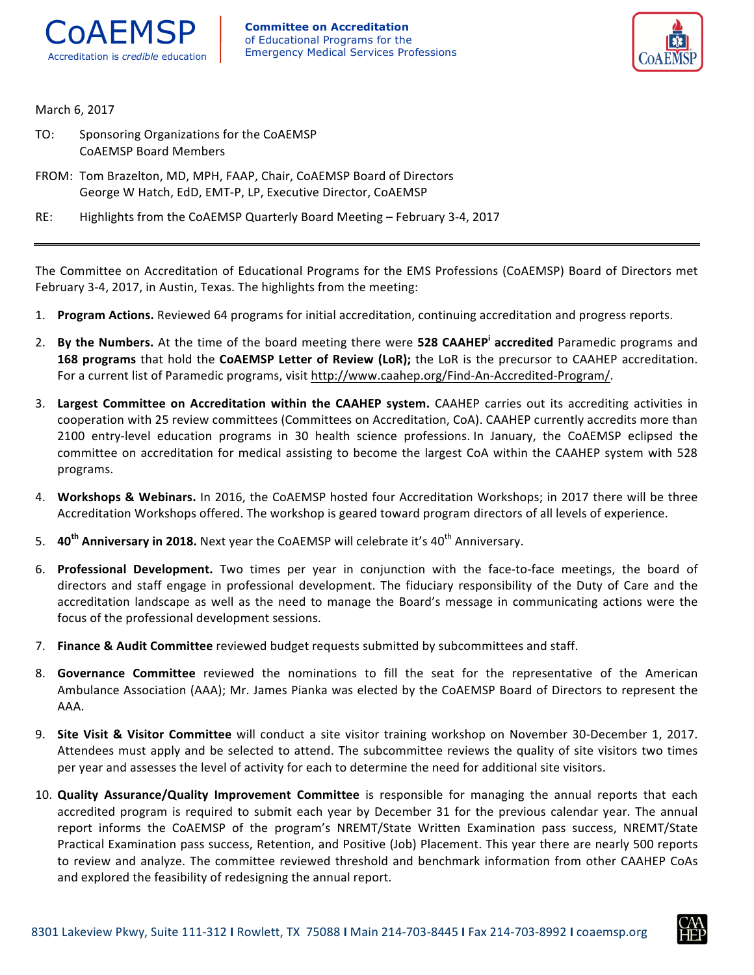



March 6, 2017

- TO: Sponsoring Organizations for the CoAEMSP CoAEMSP Board Members
- FROM: Tom Brazelton, MD, MPH, FAAP, Chair, CoAEMSP Board of Directors George W Hatch, EdD, EMT-P, LP, Executive Director, CoAEMSP
- RE: Highlights from the CoAEMSP Quarterly Board Meeting February 3-4, 2017

The Committee on Accreditation of Educational Programs for the EMS Professions (CoAEMSP) Board of Directors met February 3-4, 2017, in Austin, Texas. The highlights from the meeting:

- 1. Program Actions. Reviewed 64 programs for initial accreditation, continuing accreditation and progress reports.
- 2. **By the Numbers.** At the time of the board meeting there were 528 CAAHEP<sup>i</sup> accredited Paramedic programs and 168 programs that hold the CoAEMSP Letter of Review (LoR); the LoR is the precursor to CAAHEP accreditation. For a current list of Paramedic programs, visit http://www.caahep.org/Find-An-Accredited-Program/.
- 3. Largest Committee on Accreditation within the CAAHEP system. CAAHEP carries out its accrediting activities in cooperation with 25 review committees (Committees on Accreditation, CoA). CAAHEP currently accredits more than 2100 entry-level education programs in 30 health science professions. In January, the CoAEMSP eclipsed the committee on accreditation for medical assisting to become the largest CoA within the CAAHEP system with 528 programs.
- 4. Workshops & Webinars. In 2016, the CoAEMSP hosted four Accreditation Workshops; in 2017 there will be three Accreditation Workshops offered. The workshop is geared toward program directors of all levels of experience.
- 5. **40<sup>th</sup> Anniversary in 2018.** Next year the CoAEMSP will celebrate it's 40<sup>th</sup> Anniversary.
- 6. Professional Development. Two times per year in conjunction with the face-to-face meetings, the board of directors and staff engage in professional development. The fiduciary responsibility of the Duty of Care and the accreditation landscape as well as the need to manage the Board's message in communicating actions were the focus of the professional development sessions.
- 7. **Finance & Audit Committee** reviewed budget requests submitted by subcommittees and staff.
- 8. Governance Committee reviewed the nominations to fill the seat for the representative of the American Ambulance Association (AAA); Mr. James Pianka was elected by the CoAEMSP Board of Directors to represent the AAA.
- 9. Site Visit & Visitor Committee will conduct a site visitor training workshop on November 30-December 1, 2017. Attendees must apply and be selected to attend. The subcommittee reviews the quality of site visitors two times per year and assesses the level of activity for each to determine the need for additional site visitors.
- 10. **Quality Assurance/Quality Improvement Committee** is responsible for managing the annual reports that each accredited program is required to submit each year by December 31 for the previous calendar year. The annual report informs the CoAEMSP of the program's NREMT/State Written Examination pass success, NREMT/State Practical Examination pass success, Retention, and Positive (Job) Placement. This year there are nearly 500 reports to review and analyze. The committee reviewed threshold and benchmark information from other CAAHEP CoAs and explored the feasibility of redesigning the annual report.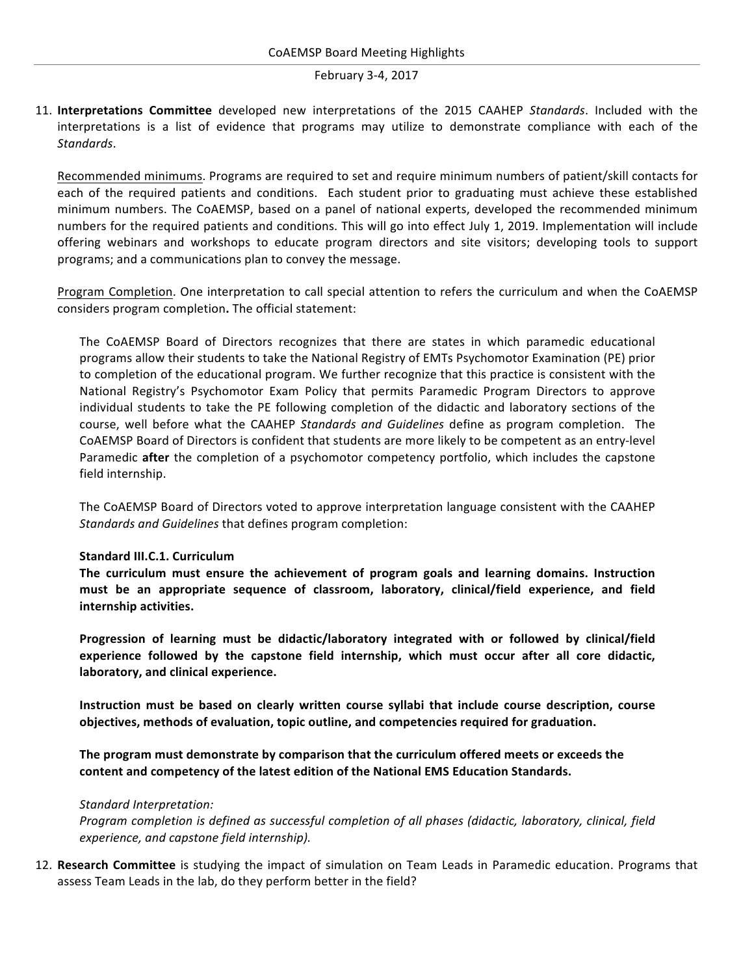# February 3-4, 2017

11. **Interpretations Committee** developed new interpretations of the 2015 CAAHEP *Standards*. Included with the interpretations is a list of evidence that programs may utilize to demonstrate compliance with each of the *Standards*.

Recommended minimums. Programs are required to set and require minimum numbers of patient/skill contacts for each of the required patients and conditions. Each student prior to graduating must achieve these established minimum numbers. The CoAEMSP, based on a panel of national experts, developed the recommended minimum numbers for the required patients and conditions. This will go into effect July 1, 2019. Implementation will include offering webinars and workshops to educate program directors and site visitors; developing tools to support programs; and a communications plan to convey the message.

Program Completion. One interpretation to call special attention to refers the curriculum and when the CoAEMSP considers program completion**.** The official statement:

The CoAEMSP Board of Directors recognizes that there are states in which paramedic educational programs allow their students to take the National Registry of EMTs Psychomotor Examination (PE) prior to completion of the educational program. We further recognize that this practice is consistent with the National Registry's Psychomotor Exam Policy that permits Paramedic Program Directors to approve individual students to take the PE following completion of the didactic and laboratory sections of the course, well before what the CAAHEP *Standards and Guidelines* define as program completion. The CoAEMSP Board of Directors is confident that students are more likely to be competent as an entry-level Paramedic **after** the completion of a psychomotor competency portfolio, which includes the capstone field internship.

The CoAEMSP Board of Directors voted to approve interpretation language consistent with the CAAHEP *Standards and Guidelines* that defines program completion:

# **Standard III.C.1. Curriculum**

The curriculum must ensure the achievement of program goals and learning domains. Instruction must be an appropriate sequence of classroom, laboratory, clinical/field experience, and field internship activities.

Progression of learning must be didactic/laboratory integrated with or followed by clinical/field experience followed by the capstone field internship, which must occur after all core didactic, laboratory, and clinical experience.

Instruction must be based on clearly written course syllabi that include course description, course objectives, methods of evaluation, topic outline, and competencies required for graduation.

The program must demonstrate by comparison that the curriculum offered meets or exceeds the content and competency of the latest edition of the National EMS Education Standards.

#### *Standard Interpretation:*

*Program completion is defined as successful completion of all phases (didactic, laboratory, clinical, field* experience, and capstone field internship).

12. Research Committee is studying the impact of simulation on Team Leads in Paramedic education. Programs that assess Team Leads in the lab, do they perform better in the field?